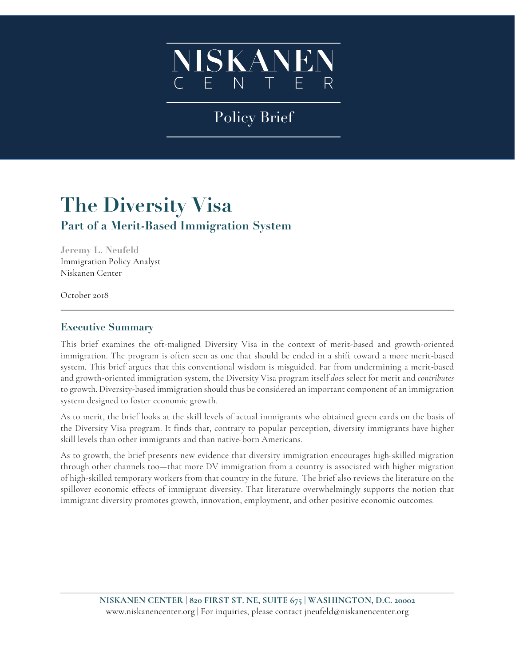

# Policy Brief

# **The Diversity Visa Part of a Merit-Based Immigration System**

**Jeremy L. Neufeld** Immigration Policy Analyst Niskanen Center

October 2018

### **Executive Summary**

This brief examines the oft-maligned Diversity Visa in the context of merit-based and growth-oriented immigration. The program is often seen as one that should be ended in a shift toward a more merit-based system. This brief argues that this conventional wisdom is misguided. Far from undermining a merit-based and growth-oriented immigration system, the Diversity Visa program itself *does* select for merit and *contributes* to growth. Diversity-based immigration should thus be considered an important component of an immigration system designed to foster economic growth.

As to merit, the brief looks at the skill levels of actual immigrants who obtained green cards on the basis of the Diversity Visa program. It finds that, contrary to popular perception, diversity immigrants have higher skill levels than other immigrants and than native-born Americans.

As to growth, the brief presents new evidence that diversity immigration encourages high-skilled migration through other channels too—that more DV immigration from a country is associated with higher migration of high-skilled temporary workers from that country in the future. The brief also reviews the literature on the spillover economic effects of immigrant diversity. That literature overwhelmingly supports the notion that immigrant diversity promotes growth, innovation, employment, and other positive economic outcomes.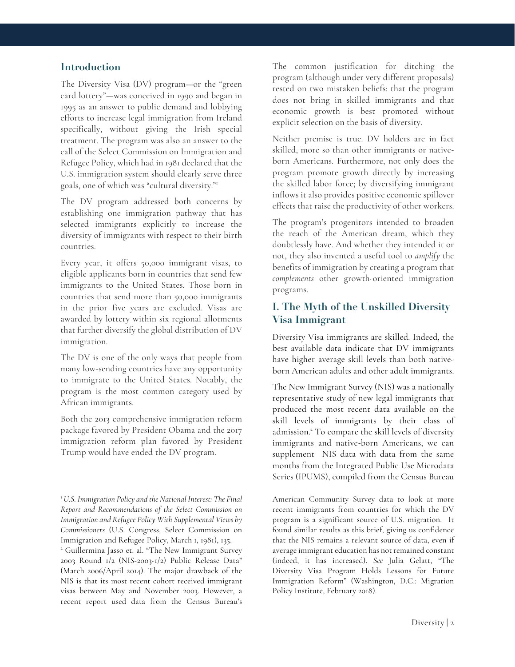#### **Introduction**

The Diversity Visa (DV) program—or the "green card lottery"—was conceived in 1990 and began in 1995 as an answer to public demand and lobbying efforts to increase legal immigration from Ireland specifically, without giving the Irish special treatment. The program was also an answer to the call of the Select Commission on Immigration and Refugee Policy, which had in 1981 declared that the U.S. immigration system should clearly serve three goals, one of which was "cultural diversity."1

The DV program addressed both concerns by establishing one immigration pathway that has selected immigrants explicitly to increase the diversity of immigrants with respect to their birth countries.

Every year, it offers 50,000 immigrant visas, to eligible applicants born in countries that send few immigrants to the United States. Those born in countries that send more than 50,000 immigrants in the prior five years are excluded. Visas are awarded by lottery within six regional allotments that further diversify the global distribution of DV immigration.

The DV is one of the only ways that people from many low-sending countries have any opportunity to immigrate to the United States. Notably, the program is the most common category used by African immigrants.

Both the 2013 comprehensive immigration reform package favored by President Obama and the 2017 immigration reform plan favored by President Trump would have ended the DV program.

The common justification for ditching the program (although under very different proposals) rested on two mistaken beliefs: that the program does not bring in skilled immigrants and that economic growth is best promoted without explicit selection on the basis of diversity.

Neither premise is true. DV holders are in fact skilled, more so than other immigrants or nativeborn Americans. Furthermore, not only does the program promote growth directly by increasing the skilled labor force; by diversifying immigrant inflows it also provides positive economic spillover effects that raise the productivity of other workers.

The program's progenitors intended to broaden the reach of the American dream, which they doubtlessly have. And whether they intended it or not, they also invented a useful tool to *amplify* the benefits of immigration by creating a program that *complements* other growth-oriented immigration programs.

### **I. The Myth of the Unskilled Diversity Visa Immigrant**

Diversity Visa immigrants are skilled. Indeed, the best available data indicate that DV immigrants have higher average skill levels than both nativeborn American adults and other adult immigrants.

The New Immigrant Survey (NIS) was a nationally representative study of new legal immigrants that produced the most recent data available on the skill levels of immigrants by their class of admission. <sup>2</sup> To compare the skill levels of diversity immigrants and native-born Americans, we can supplement NIS data with data from the same months from the Integrated Public Use Microdata Series (IPUMS), compiled from the Census Bureau

American Community Survey data to look at more recent immigrants from countries for which the DV program is a significant source of U.S. migration. It found similar results as this brief, giving us confidence that the NIS remains a relevant source of data, even if average immigrant education has not remained constant (indeed, it has increased). *See* Julia Gelatt, "The Diversity Visa Program Holds Lessons for Future Immigration Reform" (Washington, D.C.: Migration Policy Institute, February 2018).

<sup>1</sup> *U.S. Immigration Policy and the National Interest: The Final Report and Recommendations of the Select Commission on Immigration and Refugee Policy With Supplemental Views by Commissioners* (U.S. Congress, Select Commission on Immigration and Refugee Policy, March 1, 1981), 135.

<sup>2</sup> Guillermina Jasso et. al. "The New Immigrant Survey 2003 Round 1/2 (NIS-2003-1/2) Public Release Data" (March 2006/April 2014). The major drawback of the NIS is that its most recent cohort received immigrant visas between May and November 2003. However, a recent report used data from the Census Bureau's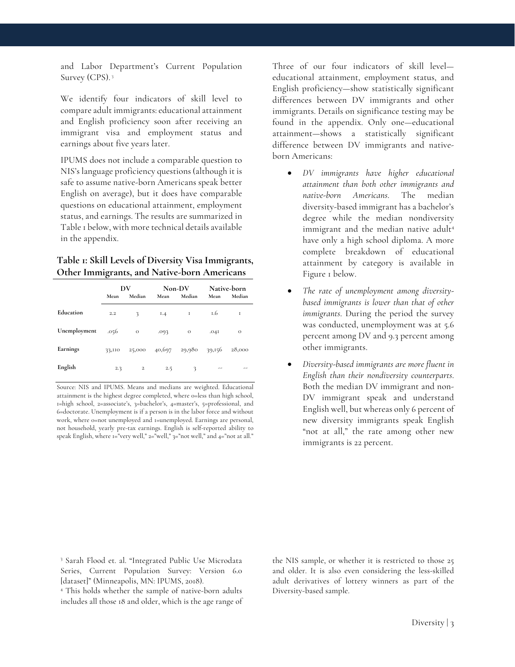and Labor Department's Current Population Survey (CPS). 3

We identify four indicators of skill level to compare adult immigrants: educational attainment and English proficiency soon after receiving an immigrant visa and employment status and earnings about five years later.

IPUMS does not include a comparable question to NIS's language proficiency questions (although it is safe to assume native-born Americans speak better English on average), but it does have comparable questions on educational attainment, employment status, and earnings. The results are summarized in Table 1 below, with more technical details available in the appendix.

#### **Table 1: Skill Levels of Diversity Visa Immigrants, Other Immigrants, and Native-born Americans**

|              | DV     |                |      | Non-DV         | <b>Native-born</b> |               |
|--------------|--------|----------------|------|----------------|--------------------|---------------|
|              | Mean   | Median         | Mean | Median         | Mean               | Median        |
| Education    | 2.2    | 3              | I.4  | $\blacksquare$ | 1.6                | 1             |
| Unemployment | .056   | $\overline{O}$ | .093 | $\circ$        | .041               | $\mathcal{O}$ |
| Earnings     | 33,110 | 25,000         |      | 40,697 29,980  | 39,156             | 28,000        |
| English      | 2.3    | $\,2$          | 2.5  | 3              |                    |               |

Source: NIS and IPUMS. Means and medians are weighted. Educational attainment is the highest degree completed, where 0=less than high school, 1=high school, 2=associate's, 3=bachelor's, 4=master's, 5=professional, and 6=doctorate. Unemployment is if a person is in the labor force and without work, where 0=not unemployed and 1=unemployed. Earnings are personal, not household, yearly pre-tax earnings. English is self-reported ability to speak English, where  $i$ ="very well,"  $i$ ="well,"  $j$ ="not well," and  $i$ ="not at all."

Three of our four indicators of skill level educational attainment, employment status, and English proficiency—show statistically significant differences between DV immigrants and other immigrants. Details on significance testing may be found in the appendix. Only one—educational attainment—shows a statistically significant difference between DV immigrants and nativeborn Americans:

- *DV immigrants have higher educational attainment than both other immigrants and native-born Americans*. The median diversity-based immigrant has a bachelor's degree while the median nondiversity immigrant and the median native adult<sup>4</sup> have only a high school diploma. A more complete breakdown of educational attainment by category is available in Figure 1 below.
- *The rate of unemployment among diversitybased immigrants is lower than that of other immigrants*. During the period the survey was conducted, unemployment was at 5.6 percent among DV and 9.3 percent among other immigrants.
- *Diversity-based immigrants are more fluent in English than their nondiversity counterparts*. Both the median DV immigrant and non-DV immigrant speak and understand English well, but whereas only 6 percent of new diversity immigrants speak English "not at all," the rate among other new immigrants is 22 percent.

<sup>3</sup> Sarah Flood et. al. "Integrated Public Use Microdata Series, Current Population Survey: Version 6.0 [dataset]" (Minneapolis, MN: IPUMS, 2018).

<sup>4</sup> This holds whether the sample of native-born adults includes all those 18 and older, which is the age range of the NIS sample, or whether it is restricted to those 25 and older. It is also even considering the less-skilled adult derivatives of lottery winners as part of the Diversity-based sample.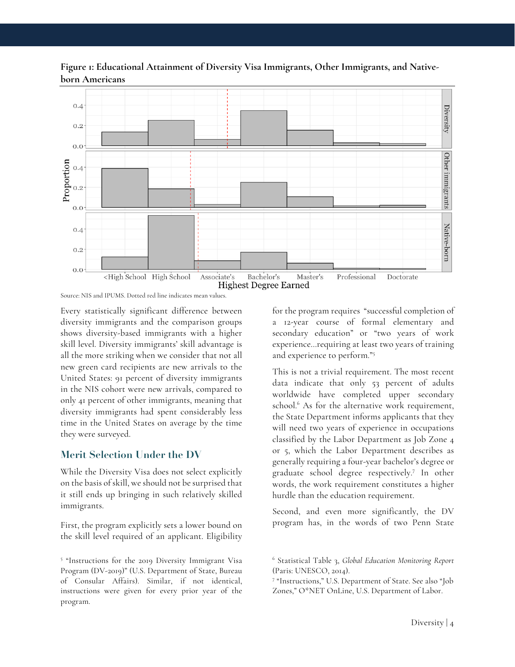



Source: NIS and IPUMS. Dotted red line indicates mean values.

Every statistically significant difference between diversity immigrants and the comparison groups shows diversity-based immigrants with a higher skill level. Diversity immigrants' skill advantage is all the more striking when we consider that not all new green card recipients are new arrivals to the United States: 91 percent of diversity immigrants in the NIS cohort were new arrivals, compared to only 41 percent of other immigrants, meaning that diversity immigrants had spent considerably less time in the United States on average by the time they were surveyed.

#### **Merit Selection Under the DV**

While the Diversity Visa does not select explicitly on the basis of skill, we should not be surprised that it still ends up bringing in such relatively skilled immigrants.

First, the program explicitly sets a lower bound on the skill level required of an applicant. Eligibility for the program requires "successful completion of a 12-year course of formal elementary and secondary education" or "two years of work experience…requiring at least two years of training and experience to perform."5

This is not a trivial requirement. The most recent data indicate that only 53 percent of adults worldwide have completed upper secondary school. <sup>6</sup> As for the alternative work requirement, the State Department informs applicants that they will need two years of experience in occupations classified by the Labor Department as Job Zone 4 or 5, which the Labor Department describes as generally requiring a four-year bachelor's degree or graduate school degree respectively.7 In other words, the work requirement constitutes a higher hurdle than the education requirement.

Second, and even more significantly, the DV program has, in the words of two Penn State

<sup>5</sup> "Instructions for the 2019 Diversity Immigrant Visa Program (DV-2019)" (U.S. Department of State, Bureau of Consular Affairs). Similar, if not identical, instructions were given for every prior year of the program.

<sup>6</sup> Statistical Table 3, *Global Education Monitoring Report* (Paris: UNESCO, 2014).

<sup>7</sup> "Instructions," U.S. Department of State. See also "Job Zones," O\*NET OnLine, U.S. Department of Labor.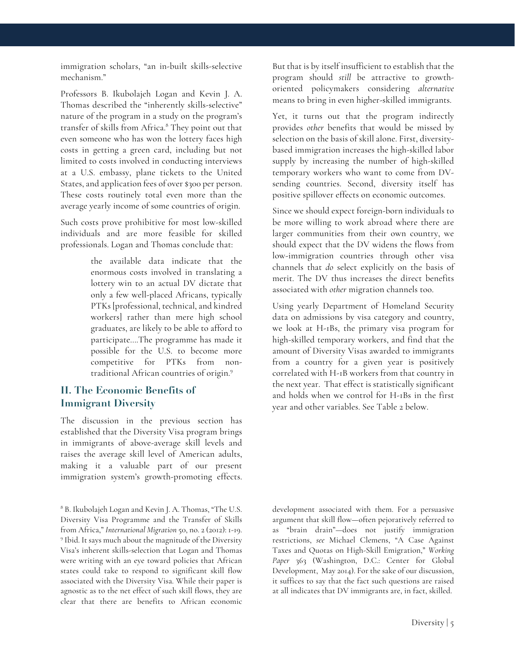immigration scholars, "an in-built skills-selective mechanism."

Professors B. Ikubolajeh Logan and Kevin J. A. Thomas described the "inherently skills-selective" nature of the program in a study on the program's transfer of skills from Africa.8 They point out that even someone who has won the lottery faces high costs in getting a green card, including but not limited to costs involved in conducting interviews at a U.S. embassy, plane tickets to the United States, and application fees of over \$300 per person. These costs routinely total even more than the average yearly income of some countries of origin.

Such costs prove prohibitive for most low-skilled individuals and are more feasible for skilled professionals. Logan and Thomas conclude that:

> the available data indicate that the enormous costs involved in translating a lottery win to an actual DV dictate that only a few well-placed Africans, typically PTKs [professional, technical, and kindred workers] rather than mere high school graduates, are likely to be able to afford to participate….The programme has made it possible for the U.S. to become more competitive for PTKs from nontraditional African countries of origin.9

## **II. The Economic Benefits of Immigrant Diversity**

The discussion in the previous section has established that the Diversity Visa program brings in immigrants of above-average skill levels and raises the average skill level of American adults, making it a valuable part of our present immigration system's growth-promoting effects. But that is by itself insufficient to establish that the program should *still* be attractive to growthoriented policymakers considering *alternative* means to bring in even higher-skilled immigrants.

Yet, it turns out that the program indirectly provides *other* benefits that would be missed by selection on the basis of skill alone. First, diversitybased immigration increases the high-skilled labor supply by increasing the number of high-skilled temporary workers who want to come from DVsending countries. Second, diversity itself has positive spillover effects on economic outcomes.

Since we should expect foreign-born individuals to be more willing to work abroad where there are larger communities from their own country, we should expect that the DV widens the flows from low-immigration countries through other visa channels that *do* select explicitly on the basis of merit. The DV thus increases the direct benefits associated with *other* migration channels too.

Using yearly Department of Homeland Security data on admissions by visa category and country, we look at H-1Bs, the primary visa program for high-skilled temporary workers, and find that the amount of Diversity Visas awarded to immigrants from a country for a given year is positively correlated with H-1B workers from that country in the next year. That effect is statistically significant and holds when we control for H-1Bs in the first year and other variables. See Table 2 below.

development associated with them. For a persuasive argument that skill flow—often pejoratively referred to as "brain drain"—does not justify immigration restrictions, *see* Michael Clemens, "A Case Against Taxes and Quotas on High-Skill Emigration," *Working*  Paper 363 (Washington, D.C.: Center for Global Development, May 2014). For the sake of our discussion, it suffices to say that the fact such questions are raised at all indicates that DV immigrants are, in fact, skilled.

<sup>8</sup> B. Ikubolajeh Logan and Kevin J. A. Thomas, "The U.S. Diversity Visa Programme and the Transfer of Skills from Africa," *International Migration* 50, no. 2 (2012): 1-19. 9 Ibid. It says much about the magnitude of the Diversity Visa's inherent skills-selection that Logan and Thomas were writing with an eye toward policies that African states could take to respond to significant skill flow associated with the Diversity Visa. While their paper is agnostic as to the net effect of such skill flows, they are clear that there are benefits to African economic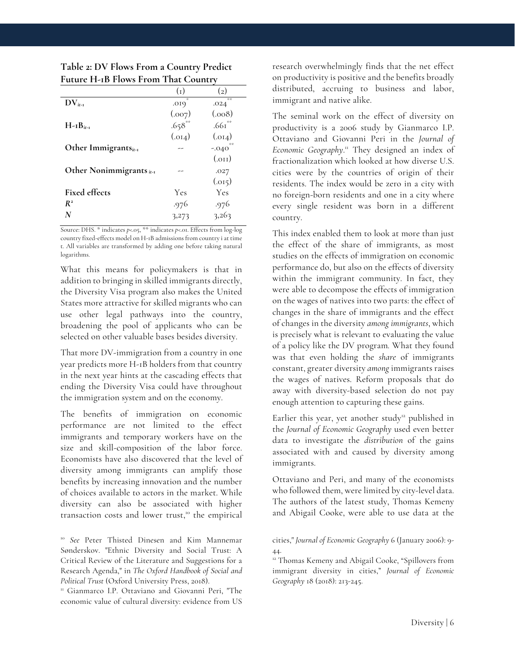|                                        | $\left( 1 \right)$ | $\left( 2\right)$          |
|----------------------------------------|--------------------|----------------------------|
| $\mathrm{DV}_{i-1}$                    | .019               | 安装<br>.024                 |
|                                        | (0.007)            | (0.008)                    |
| $H-IB_{ir-t}$                          | $.658**$           | $.661$ **                  |
|                                        | (.014)             | (.014)                     |
| Other Immigrantsit-1                   |                    | 詩詩<br>$-.040$ <sup>*</sup> |
|                                        |                    | $_{\rm (OII)}$             |
| Other Nonimmigrants $i$ <sub>t-1</sub> |                    | .027                       |
|                                        |                    | (.015)                     |
| <b>Fixed effects</b>                   | Yes                | Yes                        |
| $R^2$                                  | .976               | .976                       |
| N                                      | 3,273              | 3,263                      |

**Table 2: DV Flows From a Country Predict Future H-1B Flows From That Country**

Source: DHS. \* indicates *p*<.05, \*\* indicates *p*<.01. Effects from log-log country fixed-effects model on H-1B admissions from country i at time t. All variables are transformed by adding one before taking natural logarithms.

What this means for policymakers is that in addition to bringing in skilled immigrants directly, the Diversity Visa program also makes the United States more attractive for skilled migrants who can use other legal pathways into the country, broadening the pool of applicants who can be selected on other valuable bases besides diversity.

That more DV-immigration from a country in one year predicts more H-1B holders from that country in the next year hints at the cascading effects that ending the Diversity Visa could have throughout the immigration system and on the economy.

The benefits of immigration on economic performance are not limited to the effect immigrants and temporary workers have on the size and skill-composition of the labor force. Economists have also discovered that the level of diversity among immigrants can amplify those benefits by increasing innovation and the number of choices available to actors in the market. While diversity can also be associated with higher transaction costs and lower trust,<sup>10</sup> the empirical

<sup>10</sup> *See* Peter Thisted Dinesen and Kim Mannemar Sønderskov. "Ethnic Diversity and Social Trust: A Critical Review of the Literature and Suggestions for a Research Agenda," in *The Oxford Handbook of Social and Political Trust* (Oxford University Press, 2018).

<sup>11</sup> Gianmarco I.P. Ottaviano and Giovanni Peri, "The economic value of cultural diversity: evidence from US

research overwhelmingly finds that the net effect on productivity is positive and the benefits broadly distributed, accruing to business and labor, immigrant and native alike.

The seminal work on the effect of diversity on productivity is a 2006 study by Gianmarco I.P. Ottaviano and Giovanni Peri in the *Journal of*  Economic Geography.<sup>11</sup> They designed an index of fractionalization which looked at how diverse U.S. cities were by the countries of origin of their residents. The index would be zero in a city with no foreign-born residents and one in a city where every single resident was born in a different country.

This index enabled them to look at more than just the effect of the share of immigrants, as most studies on the effects of immigration on economic performance do, but also on the effects of diversity within the immigrant community. In fact, they were able to decompose the effects of immigration on the wages of natives into two parts: the effect of changes in the share of immigrants and the effect of changes in the diversity *among immigrants*, which is precisely what is relevant to evaluating the value of a policy like the DV program*.* What they found was that even holding the *share* of immigrants constant, greater diversity *among* immigrants raises the wages of natives. Reform proposals that do away with diversity-based selection do not pay enough attention to capturing these gains.

Earlier this year, yet another study<sup>12</sup> published in the *Journal of Economic Geography* used even better data to investigate the *distribution* of the gains associated with and caused by diversity among immigrants.

Ottaviano and Peri, and many of the economists who followed them, were limited by city-level data. The authors of the latest study, Thomas Kemeny and Abigail Cooke, were able to use data at the

cities," *Journal of Economic Geography* 6 (January 2006): 9- 44.

<sup>&</sup>lt;sup>12</sup> Thomas Kemeny and Abigail Cooke, "Spillovers from immigrant diversity in cities," *Journal of Economic Geography* 18 (2018): 213-245.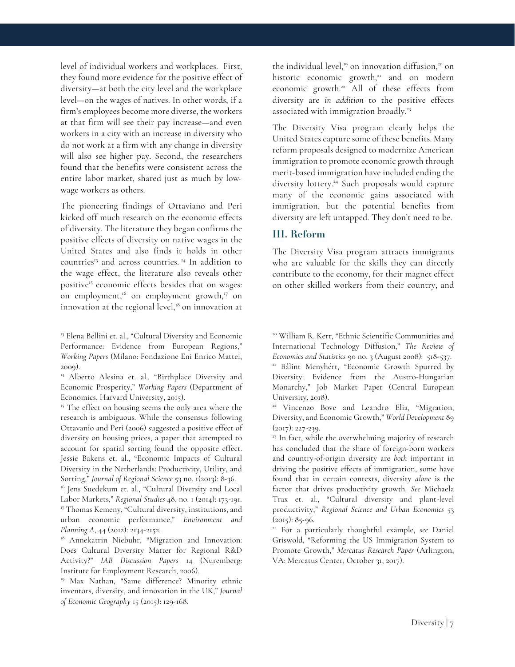level of individual workers and workplaces. First, they found more evidence for the positive effect of diversity—at both the city level and the workplace level—on the wages of natives. In other words, if a firm's employees become more diverse, the workers at that firm will see their pay increase—and even workers in a city with an increase in diversity who do not work at a firm with any change in diversity will also see higher pay. Second, the researchers found that the benefits were consistent across the entire labor market, shared just as much by lowwage workers as others.

The pioneering findings of Ottaviano and Peri kicked off much research on the economic effects of diversity. The literature they began confirms the positive effects of diversity on native wages in the United States and also finds it holds in other countries<sup>13</sup> and across countries.<sup>14</sup> In addition to the wage effect, the literature also reveals other positive<sup>15</sup> economic effects besides that on wages: on employment,<sup>16</sup> on employment growth,<sup>17</sup> on innovation at the regional level, $18$  on innovation at

<sup>13</sup> Elena Bellini et. al., "Cultural Diversity and Economic Performance: Evidence from European Regions," *Working Papers* (Milano: Fondazione Eni Enrico Mattei, 2009).

<sup>14</sup> Alberto Alesina et. al., "Birthplace Diversity and Economic Prosperity," *Working Papers* (Department of Economics, Harvard University, 2015).

<sup>15</sup> The effect on housing seems the only area where the research is ambiguous. While the consensus following Ottavanio and Peri (2006) suggested a positive effect of diversity on housing prices, a paper that attempted to account for spatial sorting found the opposite effect. Jessie Bakens et. al., "Economic Impacts of Cultural Diversity in the Netherlands: Productivity, Utility, and Sorting," *Journal of Regional Science* <sup>53</sup> no. 1(2013): 8-36. 16 Jens Suedekum et. al., "Cultural Diversity and Local

Labor Markets," *Regional Studies* 48, no. 1 (2014): 173-191. <sup>17</sup> Thomas Kemeny, "Cultural diversity, institutions, and urban economic performance," *Environment and Planning A*, 44 (2012): 2134-2152.

<sup>18</sup> Annekatrin Niebuhr, "Migration and Innovation: Does Cultural Diversity Matter for Regional R&D Activity?" *IAB Discussion Papers* 14 (Nuremberg: Institute for Employment Research, 2006).

<sup>19</sup> Max Nathan, "Same difference? Minority ethnic inventors, diversity, and innovation in the UK," *Journal of Economic Geography* 15 (2015): 129-168.

the individual level,<sup>19</sup> on innovation diffusion,<sup>20</sup> on historic economic growth, $21$  and on modern economic growth.<sup>22</sup> All of these effects from diversity are *in addition* to the positive effects associated with immigration broadly. 23

The Diversity Visa program clearly helps the United States capture some of these benefits. Many reform proposals designed to modernize American immigration to promote economic growth through merit-based immigration have included ending the diversity lottery.<sup>24</sup> Such proposals would capture many of the economic gains associated with immigration, but the potential benefits from diversity are left untapped. They don't need to be.

#### **III. Reform**

The Diversity Visa program attracts immigrants who are valuable for the skills they can directly contribute to the economy, for their magnet effect on other skilled workers from their country, and

<sup>20</sup> William R. Kerr, "Ethnic Scientific Communities and International Technology Diffusion," *The Review of Economics and Statistics* 90 no. 3 (August 2008): 518-537. <sup>21</sup> Bálint Menyhért, "Economic Growth Spurred by Diversity: Evidence from the Austro-Hungarian Monarchy," Job Market Paper (Central European University, 2018).

<sup>22</sup> Vincenzo Bove and Leandro Elia, "Migration, Diversity, and Economic Growth," *World Development* 89 (2017): 227-239.

<sup>23</sup> In fact, while the overwhelming majority of research has concluded that the share of foreign-born workers and country-of-origin diversity are *both* important in driving the positive effects of immigration, some have found that in certain contexts, diversity *alone* is the factor that drives productivity growth. *See* Michaela Trax et. al., "Cultural diversity and plant-level productivity," *Regional Science and Urban Economics* 53  $(2015): 85-96.$ 

<sup>24</sup> For a particularly thoughtful example, *see* Daniel Griswold, "Reforming the US Immigration System to Promote Growth," *Mercatus Research Paper* (Arlington, VA: Mercatus Center, October 31, 2017).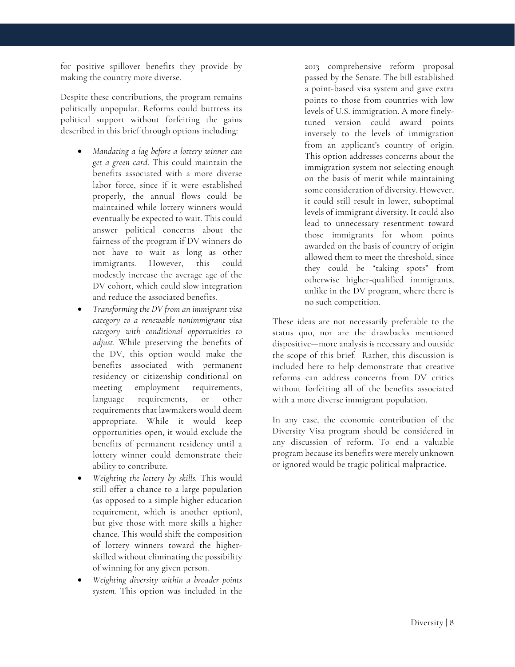for positive spillover benefits they provide by making the country more diverse.

Despite these contributions, the program remains politically unpopular. Reforms could buttress its political support without forfeiting the gains described in this brief through options including:

- *Mandating a lag before a lottery winner can get a green card*. This could maintain the benefits associated with a more diverse labor force, since if it were established properly, the annual flows could be maintained while lottery winners would eventually be expected to wait. This could answer political concerns about the fairness of the program if DV winners do not have to wait as long as other immigrants. However, this could modestly increase the average age of the DV cohort, which could slow integration and reduce the associated benefits.
- *Transforming the DV from an immigrant visa category to a renewable nonimmigrant visa category with conditional opportunities to adjust*. While preserving the benefits of the DV, this option would make the benefits associated with permanent residency or citizenship conditional on meeting employment requirements, language requirements, or other requirements that lawmakers would deem appropriate. While it would keep opportunities open, it would exclude the benefits of permanent residency until a lottery winner could demonstrate their ability to contribute.
- *Weighting the lottery by skills.* This would still offer a chance to a large population (as opposed to a simple higher education requirement, which is another option), but give those with more skills a higher chance. This would shift the composition of lottery winners toward the higherskilled without eliminating the possibility of winning for any given person.
- *Weighting diversity within a broader points system.* This option was included in the

2013 comprehensive reform proposal passed by the Senate. The bill established a point-based visa system and gave extra points to those from countries with low levels of U.S. immigration. A more finelytuned version could award points inversely to the levels of immigration from an applicant's country of origin. This option addresses concerns about the immigration system not selecting enough on the basis of merit while maintaining some consideration of diversity. However, it could still result in lower, suboptimal levels of immigrant diversity. It could also lead to unnecessary resentment toward those immigrants for whom points awarded on the basis of country of origin allowed them to meet the threshold, since they could be "taking spots" from otherwise higher-qualified immigrants, unlike in the DV program, where there is no such competition.

These ideas are not necessarily preferable to the status quo, nor are the drawbacks mentioned dispositive—more analysis is necessary and outside the scope of this brief. Rather, this discussion is included here to help demonstrate that creative reforms can address concerns from DV critics without forfeiting all of the benefits associated with a more diverse immigrant population.

In any case, the economic contribution of the Diversity Visa program should be considered in any discussion of reform. To end a valuable program because its benefits were merely unknown or ignored would be tragic political malpractice.